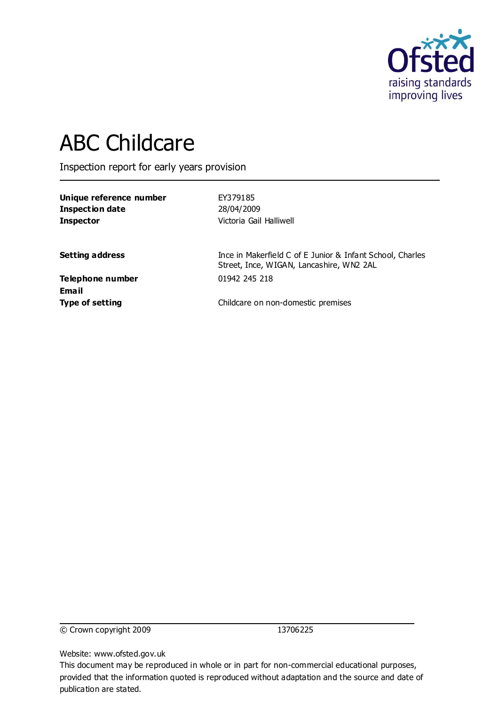

# ABC Childcare

Inspection report for early years provision

| Unique reference number |  |
|-------------------------|--|
| Inspection date         |  |
| Inspector               |  |

**Unique reference number** EY379185 **Inspection date** 28/04/2009 **Victoria Gail Halliwell** 

**Setting address** Ince in Makerfield C of E Junior & Infant School, Charles Street, Ince, WIGAN, Lancashire, WN2 2AL

**Telephone number** 01942 245 218 **Email**

**Type of setting** Childcare on non-domestic premises

© Crown copyright 2009 13706225

Website: www.ofsted.gov.uk

This document may be reproduced in whole or in part for non-commercial educational purposes, provided that the information quoted is reproduced without adaptation and the source and date of publication are stated.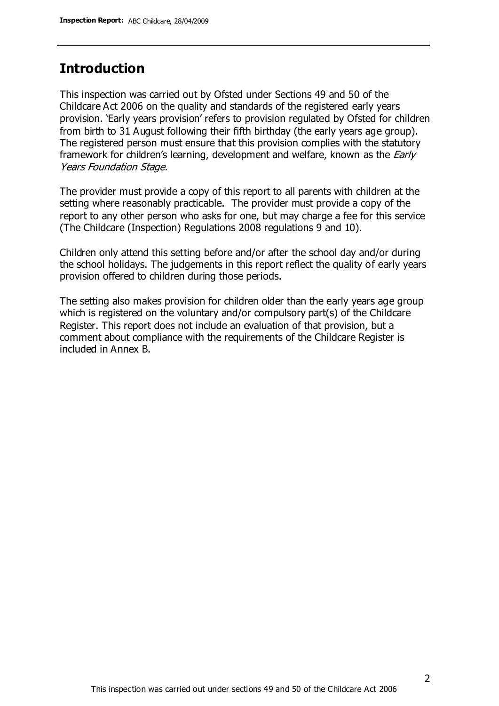## **Introduction**

This inspection was carried out by Ofsted under Sections 49 and 50 of the Childcare Act 2006 on the quality and standards of the registered early years provision. 'Early years provision' refers to provision regulated by Ofsted for children from birth to 31 August following their fifth birthday (the early years age group). The registered person must ensure that this provision complies with the statutory framework for children's learning, development and welfare, known as the *Early* Years Foundation Stage.

The provider must provide a copy of this report to all parents with children at the setting where reasonably practicable. The provider must provide a copy of the report to any other person who asks for one, but may charge a fee for this service (The Childcare (Inspection) Regulations 2008 regulations 9 and 10).

Children only attend this setting before and/or after the school day and/or during the school holidays. The judgements in this report reflect the quality of early years provision offered to children during those periods.

The setting also makes provision for children older than the early years age group which is registered on the voluntary and/or compulsory part(s) of the Childcare Register. This report does not include an evaluation of that provision, but a comment about compliance with the requirements of the Childcare Register is included in Annex B.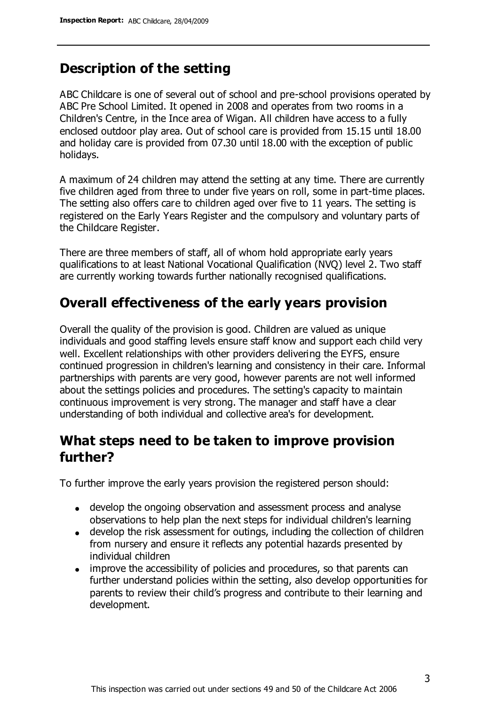## **Description of the setting**

ABC Childcare is one of several out of school and pre-school provisions operated by ABC Pre School Limited. It opened in 2008 and operates from two rooms in a Children's Centre, in the Ince area of Wigan. All children have access to a fully enclosed outdoor play area. Out of school care is provided from 15.15 until 18.00 and holiday care is provided from 07.30 until 18.00 with the exception of public holidays.

A maximum of 24 children may attend the setting at any time. There are currently five children aged from three to under five years on roll, some in part-time places. The setting also offers care to children aged over five to 11 years. The setting is registered on the Early Years Register and the compulsory and voluntary parts of the Childcare Register.

There are three members of staff, all of whom hold appropriate early years qualifications to at least National Vocational Qualification (NVQ) level 2. Two staff are currently working towards further nationally recognised qualifications.

## **Overall effectiveness of the early years provision**

Overall the quality of the provision is good. Children are valued as unique individuals and good staffing levels ensure staff know and support each child very well. Excellent relationships with other providers delivering the EYFS, ensure continued progression in children's learning and consistency in their care. Informal partnerships with parents are very good, however parents are not well informed about the settings policies and procedures. The setting's capacity to maintain continuous improvement is very strong. The manager and staff have a clear understanding of both individual and collective area's for development.

## **What steps need to be taken to improve provision further?**

To further improve the early years provision the registered person should:

- develop the ongoing observation and assessment process and analyse observations to help plan the next steps for individual children's learning
- develop the risk assessment for outings, including the collection of children from nursery and ensure it reflects any potential hazards presented by individual children
- improve the accessibility of policies and procedures, so that parents can further understand policies within the setting, also develop opportunities for parents to review their child's progress and contribute to their learning and development.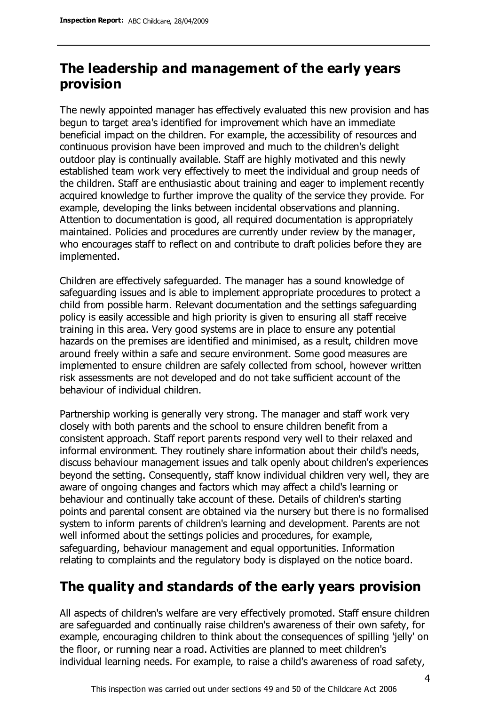# **The leadership and management of the early years provision**

The newly appointed manager has effectively evaluated this new provision and has begun to target area's identified for improvement which have an immediate beneficial impact on the children. For example, the accessibility of resources and continuous provision have been improved and much to the children's delight outdoor play is continually available. Staff are highly motivated and this newly established team work very effectively to meet the individual and group needs of the children. Staff are enthusiastic about training and eager to implement recently acquired knowledge to further improve the quality of the service they provide. For example, developing the links between incidental observations and planning. Attention to documentation is good, all required documentation is appropriately maintained. Policies and procedures are currently under review by the manager, who encourages staff to reflect on and contribute to draft policies before they are implemented.

Children are effectively safeguarded. The manager has a sound knowledge of safeguarding issues and is able to implement appropriate procedures to protect a child from possible harm. Relevant documentation and the settings safeguarding policy is easily accessible and high priority is given to ensuring all staff receive training in this area. Very good systems are in place to ensure any potential hazards on the premises are identified and minimised, as a result, children move around freely within a safe and secure environment. Some good measures are implemented to ensure children are safely collected from school, however written risk assessments are not developed and do not take sufficient account of the behaviour of individual children.

Partnership working is generally very strong. The manager and staff work very closely with both parents and the school to ensure children benefit from a consistent approach. Staff report parents respond very well to their relaxed and informal environment. They routinely share information about their child's needs, discuss behaviour management issues and talk openly about children's experiences beyond the setting. Consequently, staff know individual children very well, they are aware of ongoing changes and factors which may affect a child's learning or behaviour and continually take account of these. Details of children's starting points and parental consent are obtained via the nursery but there is no formalised system to inform parents of children's learning and development. Parents are not well informed about the settings policies and procedures, for example, safeguarding, behaviour management and equal opportunities. Information relating to complaints and the regulatory body is displayed on the notice board.

# **The quality and standards of the early years provision**

All aspects of children's welfare are very effectively promoted. Staff ensure children are safeguarded and continually raise children's awareness of their own safety, for example, encouraging children to think about the consequences of spilling 'jelly' on the floor, or running near a road. Activities are planned to meet children's individual learning needs. For example, to raise a child's awareness of road safety,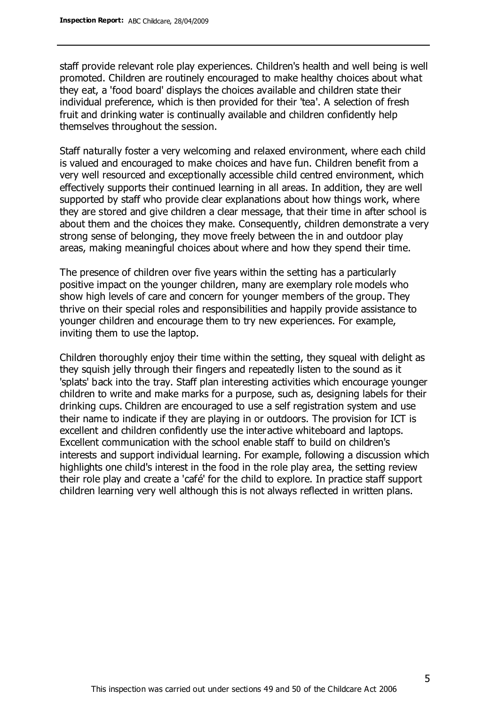staff provide relevant role play experiences. Children's health and well being is well promoted. Children are routinely encouraged to make healthy choices about what they eat, a 'food board' displays the choices available and children state their individual preference, which is then provided for their 'tea'. A selection of fresh fruit and drinking water is continually available and children confidently help themselves throughout the session.

Staff naturally foster a very welcoming and relaxed environment, where each child is valued and encouraged to make choices and have fun. Children benefit from a very well resourced and exceptionally accessible child centred environment, which effectively supports their continued learning in all areas. In addition, they are well supported by staff who provide clear explanations about how things work, where they are stored and give children a clear message, that their time in after school is about them and the choices they make. Consequently, children demonstrate a very strong sense of belonging, they move freely between the in and outdoor play areas, making meaningful choices about where and how they spend their time.

The presence of children over five years within the setting has a particularly positive impact on the younger children, many are exemplary role models who show high levels of care and concern for younger members of the group. They thrive on their special roles and responsibilities and happily provide assistance to younger children and encourage them to try new experiences. For example, inviting them to use the laptop.

Children thoroughly enjoy their time within the setting, they squeal with delight as they squish jelly through their fingers and repeatedly listen to the sound as it 'splats' back into the tray. Staff plan interesting activities which encourage younger children to write and make marks for a purpose, such as, designing labels for their drinking cups. Children are encouraged to use a self registration system and use their name to indicate if they are playing in or outdoors. The provision for ICT is excellent and children confidently use the interactive whiteboard and laptops. Excellent communication with the school enable staff to build on children's interests and support individual learning. For example, following a discussion which highlights one child's interest in the food in the role play area, the setting review their role play and create a 'café' for the child to explore. In practice staff support children learning very well although this is not always reflected in written plans.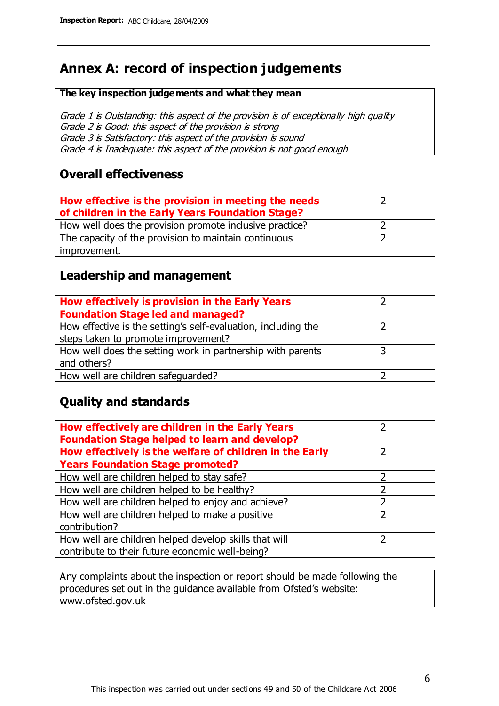# **Annex A: record of inspection judgements**

#### **The key inspection judgements and what they mean**

Grade 1 is Outstanding: this aspect of the provision is of exceptionally high quality Grade 2 is Good: this aspect of the provision is strong Grade 3 is Satisfactory: this aspect of the provision is sound Grade 4 is Inadequate: this aspect of the provision is not good enough

#### **Overall effectiveness**

| How effective is the provision in meeting the needs<br>of children in the Early Years Foundation Stage? |  |
|---------------------------------------------------------------------------------------------------------|--|
| How well does the provision promote inclusive practice?                                                 |  |
| The capacity of the provision to maintain continuous                                                    |  |
| improvement.                                                                                            |  |

#### **Leadership and management**

| How effectively is provision in the Early Years               |  |
|---------------------------------------------------------------|--|
| <b>Foundation Stage led and managed?</b>                      |  |
| How effective is the setting's self-evaluation, including the |  |
| steps taken to promote improvement?                           |  |
| How well does the setting work in partnership with parents    |  |
| and others?                                                   |  |
| How well are children safequarded?                            |  |

#### **Quality and standards**

| How effectively are children in the Early Years<br><b>Foundation Stage helped to learn and develop?</b> |               |
|---------------------------------------------------------------------------------------------------------|---------------|
| How effectively is the welfare of children in the Early                                                 | ר             |
| <b>Years Foundation Stage promoted?</b>                                                                 |               |
| How well are children helped to stay safe?                                                              |               |
| How well are children helped to be healthy?                                                             |               |
| How well are children helped to enjoy and achieve?                                                      | 2             |
| How well are children helped to make a positive                                                         | $\mathcal{P}$ |
| contribution?                                                                                           |               |
| How well are children helped develop skills that will                                                   |               |
| contribute to their future economic well-being?                                                         |               |

Any complaints about the inspection or report should be made following the procedures set out in the guidance available from Ofsted's website: www.ofsted.gov.uk